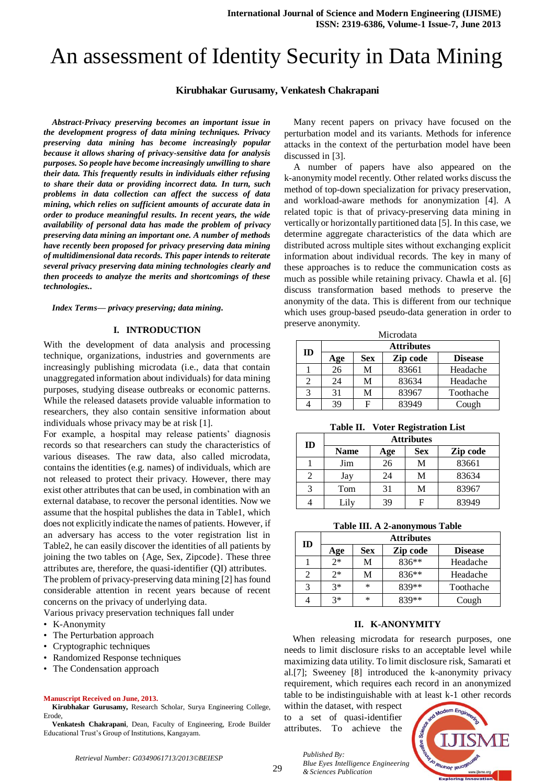# An assessment of Identity Security in Data Mining

# **Kirubhakar Gurusamy, Venkatesh Chakrapani**

*Abstract-Privacy preserving becomes an important issue in the development progress of data mining techniques. Privacy preserving data mining has become increasingly popular because it allows sharing of privacy-sensitive data for analysis purposes. So people have become increasingly unwilling to share their data. This frequently results in individuals either refusing to share their data or providing incorrect data. In turn, such problems in data collection can affect the success of data mining, which relies on sufficient amounts of accurate data in order to produce meaningful results. In recent years, the wide availability of personal data has made the problem of privacy preserving data mining an important one. A number of methods have recently been proposed for privacy preserving data mining of multidimensional data records. This paper intends to reiterate several privacy preserving data mining technologies clearly and then proceeds to analyze the merits and shortcomings of these technologies..*

*Index Terms***—** *privacy preserving; data mining.* 

## **I. INTRODUCTION**

With the development of data analysis and processing technique, organizations, industries and governments are increasingly publishing microdata (i.e., data that contain unaggregated information about individuals) for data mining purposes, studying disease outbreaks or economic patterns. While the released datasets provide valuable information to researchers, they also contain sensitive information about individuals whose privacy may be at risk [1].

For example, a hospital may release patients' diagnosis records so that researchers can study the characteristics of various diseases. The raw data, also called microdata, contains the identities (e.g. names) of individuals, which are not released to protect their privacy. However, there may exist other attributes that can be used, in combination with an external database, to recover the personal identities. Now we assume that the hospital publishes the data in Table1, which does not explicitly indicate the names of patients. However, if an adversary has access to the voter registration list in Table2, he can easily discover the identities of all patients by joining the two tables on {Age, Sex, Zipcode}. These three attributes are, therefore, the quasi-identifier (QI) attributes. The problem of privacy-preserving data mining [2] has found considerable attention in recent years because of recent concerns on the privacy of underlying data.

Various privacy preservation techniques fall under

- K-Anonymity
- The Perturbation approach
- Cryptographic techniques
- Randomized Response techniques
- The Condensation approach

#### **Manuscript Received on June, 2013.**

**Kirubhakar Gurusamy,** Research Scholar, Surya Engineering College, Erode,

**Venkatesh Chakrapani**, Dean, Faculty of Engineering, Erode Builder Educational Trust's Group of Institutions, Kangayam.

Many recent papers on privacy have focused on the perturbation model and its variants. Methods for inference attacks in the context of the perturbation model have been discussed in [3].

A number of papers have also appeared on the k-anonymity model recently. Other related works discuss the method of top-down specialization for privacy preservation, and workload-aware methods for anonymization [4]. A related topic is that of privacy-preserving data mining in vertically or horizontally partitioned data [5]. In this case, we determine aggregate characteristics of the data which are distributed across multiple sites without exchanging explicit information about individual records. The key in many of these approaches is to reduce the communication costs as much as possible while retaining privacy. Chawla et al. [6] discuss transformation based methods to preserve the anonymity of the data. This is different from our technique which uses group-based pseudo-data generation in order to preserve anonymity.

| Microdata |                   |            |          |                |  |
|-----------|-------------------|------------|----------|----------------|--|
| ID        | <b>Attributes</b> |            |          |                |  |
|           | Age               | <b>Sex</b> | Zip code | <b>Disease</b> |  |
|           | 26                | M          | 83661    | Headache       |  |
|           | 24                | M          | 83634    | Headache       |  |
|           | 31                | M          | 83967    | Toothache      |  |
|           | 39                |            | 83949    | Cough          |  |

**Table II. Voter Registration List**

| ID | <b>Attributes</b> |     |            |          |  |  |
|----|-------------------|-----|------------|----------|--|--|
|    | <b>Name</b>       | Age | <b>Sex</b> | Zip code |  |  |
|    | Jim               | 26  | Μ          | 83661    |  |  |
|    | Jay               | 24  | М          | 83634    |  |  |
|    | Tom               | 31  | М          | 83967    |  |  |
|    | Lily              | 39  | F          | 83949    |  |  |

**Table III. A 2-anonymous Table**

| $_{\rm ID}$ | <b>Attributes</b> |            |          |                |  |
|-------------|-------------------|------------|----------|----------------|--|
|             | Age               | <b>Sex</b> | Zip code | <b>Disease</b> |  |
|             | $2*$              | М          | $836**$  | Headache       |  |
|             | $2*$              | M          | $836**$  | Headache       |  |
|             | $3*$              | $\ast$     | 839**    | Toothache      |  |
|             | 3*                | $\ast$     | $839**$  | Cough          |  |

#### **II. K-ANONYMITY**

When releasing microdata for research purposes, one needs to limit disclosure risks to an acceptable level while maximizing data utility. To limit disclosure risk, Samarati et al.[7]; Sweeney [8] introduced the k-anonymity privacy requirement, which requires each record in an anonymized table to be indistinguishable with at least k-1 other records

within the dataset, with respect to a set of quasi-identifier attributes. To achieve the

*Published By:*

*& Sciences Publication* 

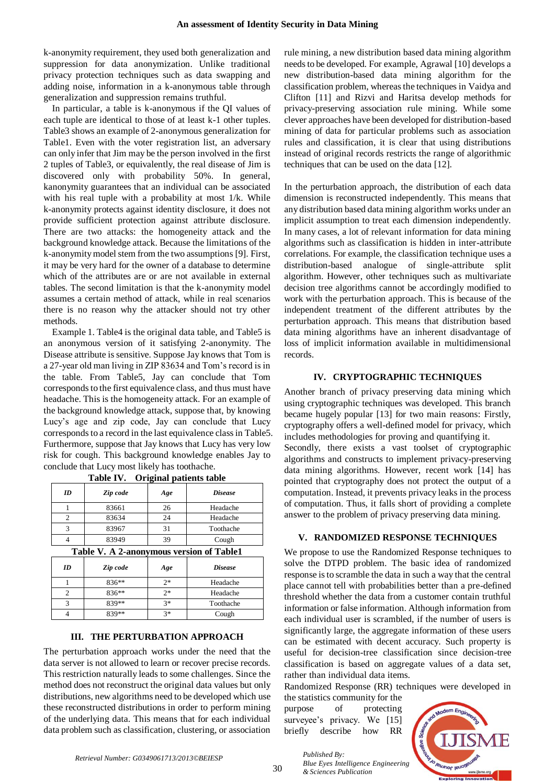k-anonymity requirement, they used both generalization and suppression for data anonymization. Unlike traditional privacy protection techniques such as data swapping and adding noise, information in a k-anonymous table through generalization and suppression remains truthful.

In particular, a table is k-anonymous if the QI values of each tuple are identical to those of at least k-1 other tuples. Table3 shows an example of 2-anonymous generalization for Table1. Even with the voter registration list, an adversary can only infer that Jim may be the person involved in the first 2 tuples of Table3, or equivalently, the real disease of Jim is discovered only with probability 50%. In general, kanonymity guarantees that an individual can be associated with his real tuple with a probability at most 1/k. While k-anonymity protects against identity disclosure, it does not provide sufficient protection against attribute disclosure. There are two attacks: the homogeneity attack and the background knowledge attack. Because the limitations of the k-anonymity model stem from the two assumptions [9]. First, it may be very hard for the owner of a database to determine which of the attributes are or are not available in external tables. The second limitation is that the k-anonymity model assumes a certain method of attack, while in real scenarios there is no reason why the attacker should not try other methods.

Example 1. Table4 is the original data table, and Table5 is an anonymous version of it satisfying 2-anonymity. The Disease attribute is sensitive. Suppose Jay knows that Tom is a 27-year old man living in ZIP 83634 and Tom's record is in the table. From Table5, Jay can conclude that Tom corresponds to the first equivalence class, and thus must have headache. This is the homogeneity attack. For an example of the background knowledge attack, suppose that, by knowing Lucy's age and zip code, Jay can conclude that Lucy corresponds to a record in the last equivalence class in Table5. Furthermore, suppose that Jay knows that Lucy has very low risk for cough. This background knowledge enables Jay to conclude that Lucy most likely has toothache.

| ID                                       | Zip code | Age  | <b>Disease</b> |  |
|------------------------------------------|----------|------|----------------|--|
|                                          | 83661    | 26   | Headache       |  |
| 2                                        | 83634    | 24   | Headache       |  |
| 3                                        | 83967    | 31   | Toothache      |  |
| 4                                        | 83949    | 39   | Cough          |  |
| Table V. A 2-anonymous version of Table1 |          |      |                |  |
| ID                                       | Zip code | Age  | <b>Disease</b> |  |
|                                          |          |      |                |  |
|                                          | 836**    | $2*$ | Headache       |  |
| 2                                        | 836**    | $2*$ | Headache       |  |

**Table IV. Original patients table**

## **III. THE PERTURBATION APPROACH**

4 839\*\* 3\* Cough

The perturbation approach works under the need that the data server is not allowed to learn or recover precise records. This restriction naturally leads to some challenges. Since the method does not reconstruct the original data values but only distributions, new algorithms need to be developed which use these reconstructed distributions in order to perform mining of the underlying data. This means that for each individual data problem such as classification, clustering, or association

rule mining, a new distribution based data mining algorithm needs to be developed. For example, Agrawal [10] develops a new distribution-based data mining algorithm for the classification problem, whereas the techniques in Vaidya and Clifton [11] and Rizvi and Haritsa develop methods for privacy-preserving association rule mining. While some clever approaches have been developed for distribution-based mining of data for particular problems such as association rules and classification, it is clear that using distributions instead of original records restricts the range of algorithmic techniques that can be used on the data [12].

In the perturbation approach, the distribution of each data dimension is reconstructed independently. This means that any distribution based data mining algorithm works under an implicit assumption to treat each dimension independently. In many cases, a lot of relevant information for data mining algorithms such as classification is hidden in inter-attribute correlations. For example, the classification technique uses a distribution-based analogue of single-attribute split algorithm. However, other techniques such as multivariate decision tree algorithms cannot be accordingly modified to work with the perturbation approach. This is because of the independent treatment of the different attributes by the perturbation approach. This means that distribution based data mining algorithms have an inherent disadvantage of loss of implicit information available in multidimensional records.

## **IV. CRYPTOGRAPHIC TECHNIQUES**

Another branch of privacy preserving data mining which using cryptographic techniques was developed. This branch became hugely popular [13] for two main reasons: Firstly, cryptography offers a well-defined model for privacy, which includes methodologies for proving and quantifying it.

Secondly, there exists a vast toolset of cryptographic algorithms and constructs to implement privacy-preserving data mining algorithms. However, recent work [14] has pointed that cryptography does not protect the output of a computation. Instead, it prevents privacy leaks in the process of computation. Thus, it falls short of providing a complete answer to the problem of privacy preserving data mining.

#### **V. RANDOMIZED RESPONSE TECHNIQUES**

We propose to use the Randomized Response techniques to solve the DTPD problem. The basic idea of randomized response is to scramble the data in such a way that the central place cannot tell with probabilities better than a pre-defined threshold whether the data from a customer contain truthful information or false information. Although information from each individual user is scrambled, if the number of users is significantly large, the aggregate information of these users can be estimated with decent accuracy. Such property is useful for decision-tree classification since decision-tree classification is based on aggregate values of a data set, rather than individual data items.

Randomized Response (RR) techniques were developed in the statistics community for the

purpose of protecting surveyee's privacy. We [15] briefly describe how RR

*Blue Eyes Intelligence Engineering* 

*Published By:*

*& Sciences Publication*